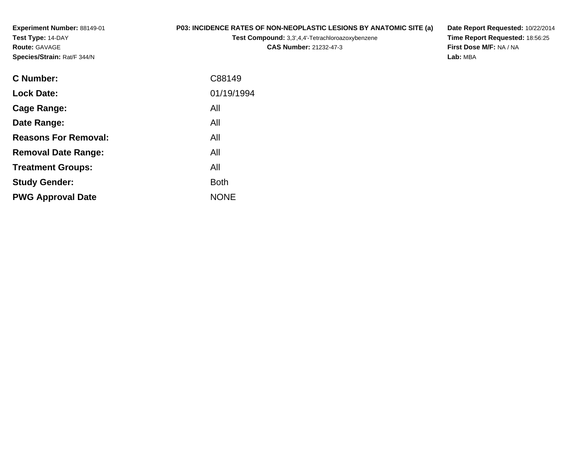**Experiment Number:** 88149-01**Test Type:** 14-DAY**Route:** GAVAGE**Species/Strain:** Rat/F 344/N

## **P03: INCIDENCE RATES OF NON-NEOPLASTIC LESIONS BY ANATOMIC SITE (a)**

**Test Compound:** 3,3',4,4'-Tetrachloroazoxybenzene

**CAS Number:** 21232-47-3

**Date Report Requested:** 10/22/2014 **Time Report Requested:** 18:56:25**First Dose M/F:** NA / NA**Lab:** MBA

| <b>C</b> Number:            | C88149      |
|-----------------------------|-------------|
| <b>Lock Date:</b>           | 01/19/1994  |
| Cage Range:                 | All         |
| Date Range:                 | All         |
| <b>Reasons For Removal:</b> | All         |
| <b>Removal Date Range:</b>  | All         |
| <b>Treatment Groups:</b>    | All         |
| <b>Study Gender:</b>        | <b>Both</b> |
| <b>PWG Approval Date</b>    | <b>NONE</b> |
|                             |             |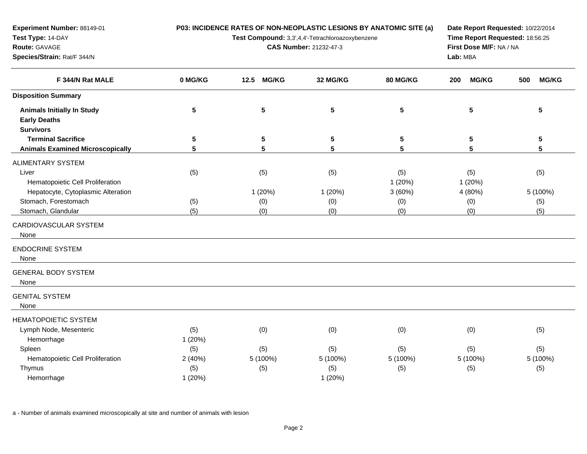**P03: INCIDENCE RATES OF NON-NEOPLASTIC LESIONS BY ANATOMIC SITE (a)**

**Test Compound:** 3,3',4,4'-Tetrachloroazoxybenzene

**CAS Number:** 21232-47-3

**Date Report Requested:** 10/22/2014**Time Report Requested:** 18:56:25**First Dose M/F:** NA / NA**Lab:** MBA

| F 344/N Rat MALE                        | 0 MG/KG        | 12.5<br><b>MG/KG</b> | 32 MG/KG        | <b>80 MG/KG</b> | <b>MG/KG</b><br>200 | <b>MG/KG</b><br>500 |
|-----------------------------------------|----------------|----------------------|-----------------|-----------------|---------------------|---------------------|
| <b>Disposition Summary</b>              |                |                      |                 |                 |                     |                     |
| <b>Animals Initially In Study</b>       | 5              | 5                    | $5\phantom{.0}$ | $5\phantom{.0}$ | 5                   | 5                   |
| <b>Early Deaths</b>                     |                |                      |                 |                 |                     |                     |
| <b>Survivors</b>                        |                |                      |                 |                 |                     |                     |
| <b>Terminal Sacrifice</b>               | 5              | 5                    | 5               | 5               | 5                   | $\sqrt{5}$          |
| <b>Animals Examined Microscopically</b> | $5\phantom{1}$ | 5                    | 5               | 5               | 5                   | $5\phantom{.0}$     |
| ALIMENTARY SYSTEM                       |                |                      |                 |                 |                     |                     |
| Liver                                   | (5)            | (5)                  | (5)             | (5)             | (5)                 | (5)                 |
| Hematopoietic Cell Proliferation        |                |                      |                 | 1(20%)          | 1(20%)              |                     |
| Hepatocyte, Cytoplasmic Alteration      |                | 1 (20%)              | 1(20%)          | 3(60%)          | 4 (80%)             | 5 (100%)            |
| Stomach, Forestomach                    | (5)            | (0)                  | (0)             | (0)             | (0)                 | (5)                 |
| Stomach, Glandular                      | (5)            | (0)                  | (0)             | (0)             | (0)                 | (5)                 |
| CARDIOVASCULAR SYSTEM<br>None           |                |                      |                 |                 |                     |                     |
| <b>ENDOCRINE SYSTEM</b><br>None         |                |                      |                 |                 |                     |                     |
| <b>GENERAL BODY SYSTEM</b><br>None      |                |                      |                 |                 |                     |                     |
| <b>GENITAL SYSTEM</b><br>None           |                |                      |                 |                 |                     |                     |
| <b>HEMATOPOIETIC SYSTEM</b>             |                |                      |                 |                 |                     |                     |
| Lymph Node, Mesenteric                  | (5)            | (0)                  | (0)             | (0)             | (0)                 | (5)                 |
| Hemorrhage                              | 1 (20%)        |                      |                 |                 |                     |                     |
| Spleen                                  | (5)            | (5)                  | (5)             | (5)             | (5)                 | (5)                 |
| Hematopoietic Cell Proliferation        | 2(40%)         | 5 (100%)             | 5 (100%)        | 5 (100%)        | 5 (100%)            | 5 (100%)            |
| Thymus                                  | (5)            | (5)                  | (5)             | (5)             | (5)                 | (5)                 |
| Hemorrhage                              | 1(20%)         |                      | 1(20%)          |                 |                     |                     |
|                                         |                |                      |                 |                 |                     |                     |

a - Number of animals examined microscopically at site and number of animals with lesion

**Experiment Number:** 88149-01

**Species/Strain:** Rat/F 344/N

**Test Type:** 14-DAY**Route:** GAVAGE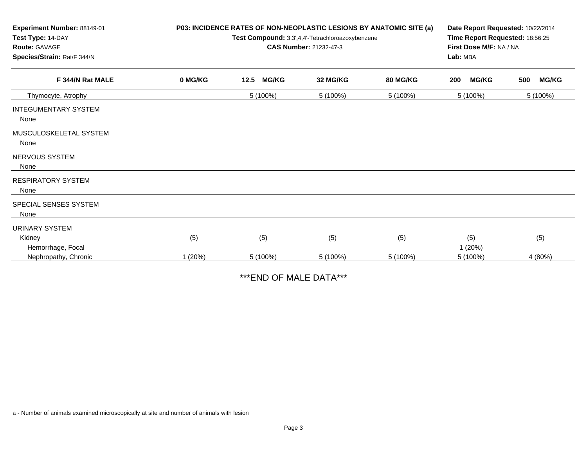| Experiment Number: 88149-01<br>Test Type: 14-DAY<br><b>Route: GAVAGE</b><br>Species/Strain: Rat/F 344/N |         | P03: INCIDENCE RATES OF NON-NEOPLASTIC LESIONS BY ANATOMIC SITE (a)<br>Test Compound: 3,3',4,4'-Tetrachloroazoxybenzene<br>CAS Number: 21232-47-3 | Date Report Requested: 10/22/2014<br>Time Report Requested: 18:56:25<br>First Dose M/F: NA / NA<br>Lab: MBA |                 |                     |                     |
|---------------------------------------------------------------------------------------------------------|---------|---------------------------------------------------------------------------------------------------------------------------------------------------|-------------------------------------------------------------------------------------------------------------|-----------------|---------------------|---------------------|
| F 344/N Rat MALE                                                                                        | 0 MG/KG | 12.5<br><b>MG/KG</b>                                                                                                                              | 32 MG/KG                                                                                                    | <b>80 MG/KG</b> | <b>MG/KG</b><br>200 | <b>MG/KG</b><br>500 |
| Thymocyte, Atrophy                                                                                      |         | 5 (100%)                                                                                                                                          | 5 (100%)                                                                                                    | 5 (100%)        | 5 (100%)            | 5 (100%)            |
| <b>INTEGUMENTARY SYSTEM</b><br>None                                                                     |         |                                                                                                                                                   |                                                                                                             |                 |                     |                     |
| MUSCULOSKELETAL SYSTEM<br>None                                                                          |         |                                                                                                                                                   |                                                                                                             |                 |                     |                     |
| NERVOUS SYSTEM<br>None                                                                                  |         |                                                                                                                                                   |                                                                                                             |                 |                     |                     |
| <b>RESPIRATORY SYSTEM</b><br>None                                                                       |         |                                                                                                                                                   |                                                                                                             |                 |                     |                     |
| SPECIAL SENSES SYSTEM<br>None                                                                           |         |                                                                                                                                                   |                                                                                                             |                 |                     |                     |
| URINARY SYSTEM                                                                                          |         |                                                                                                                                                   |                                                                                                             |                 |                     |                     |
| Kidney                                                                                                  | (5)     | (5)                                                                                                                                               | (5)                                                                                                         | (5)             | (5)                 | (5)                 |
| Hemorrhage, Focal                                                                                       |         |                                                                                                                                                   |                                                                                                             |                 | 1(20%)              |                     |
| Nephropathy, Chronic                                                                                    | 1(20%)  | 5 (100%)                                                                                                                                          | 5 (100%)                                                                                                    | 5 (100%)        | 5 (100%)            | 4 (80%)             |

\*\*\*END OF MALE DATA\*\*\*

a - Number of animals examined microscopically at site and number of animals with lesion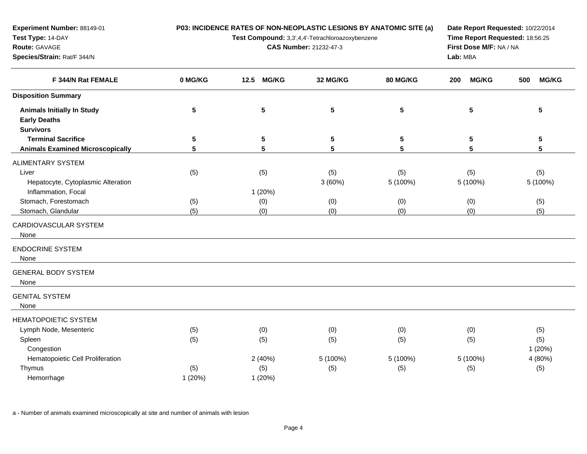**P03: INCIDENCE RATES OF NON-NEOPLASTIC LESIONS BY ANATOMIC SITE (a)**

**Test Compound:** 3,3',4,4'-Tetrachloroazoxybenzene

**CAS Number:** 21232-47-3

**Date Report Requested:** 10/22/2014**Time Report Requested:** 18:56:25**First Dose M/F:** NA / NA**Lab:** MBA

| F 344/N Rat FEMALE                      | 0 MG/KG<br>12.5<br><b>MG/KG</b> |           | 32 MG/KG        | 80 MG/KG | 200<br><b>MG/KG</b> | <b>MG/KG</b><br>500 |  |
|-----------------------------------------|---------------------------------|-----------|-----------------|----------|---------------------|---------------------|--|
| <b>Disposition Summary</b>              |                                 |           |                 |          |                     |                     |  |
| <b>Animals Initially In Study</b>       | 5                               | ${\bf 5}$ | 5               | 5        | $5\phantom{.0}$     | $5\phantom{.0}$     |  |
| <b>Early Deaths</b>                     |                                 |           |                 |          |                     |                     |  |
| <b>Survivors</b>                        |                                 |           |                 |          |                     |                     |  |
| <b>Terminal Sacrifice</b>               | 5                               | 5         | 5               | 5        | 5                   | $\sqrt{5}$          |  |
| <b>Animals Examined Microscopically</b> | 5                               | 5         | $5\phantom{.0}$ | 5        | 5                   | 5                   |  |
| ALIMENTARY SYSTEM                       |                                 |           |                 |          |                     |                     |  |
| Liver                                   | (5)                             | (5)       | (5)             | (5)      | (5)                 | (5)                 |  |
| Hepatocyte, Cytoplasmic Alteration      |                                 |           | 3(60%)          | 5 (100%) | 5 (100%)            | 5 (100%)            |  |
| Inflammation, Focal                     |                                 | 1(20%)    |                 |          |                     |                     |  |
| Stomach, Forestomach                    | (5)                             | (0)       | (0)             | (0)      | (0)                 | (5)                 |  |
| Stomach, Glandular                      | (5)                             | (0)       | (0)             | (0)      | (0)                 | (5)                 |  |
| CARDIOVASCULAR SYSTEM                   |                                 |           |                 |          |                     |                     |  |
| None                                    |                                 |           |                 |          |                     |                     |  |
| <b>ENDOCRINE SYSTEM</b>                 |                                 |           |                 |          |                     |                     |  |
| None                                    |                                 |           |                 |          |                     |                     |  |
| <b>GENERAL BODY SYSTEM</b>              |                                 |           |                 |          |                     |                     |  |
| None                                    |                                 |           |                 |          |                     |                     |  |
| <b>GENITAL SYSTEM</b>                   |                                 |           |                 |          |                     |                     |  |
| None                                    |                                 |           |                 |          |                     |                     |  |
| <b>HEMATOPOIETIC SYSTEM</b>             |                                 |           |                 |          |                     |                     |  |
| Lymph Node, Mesenteric                  | (5)                             | (0)       | (0)             | (0)      | (0)                 | (5)                 |  |
| Spleen                                  | (5)                             | (5)       | (5)             | (5)      | (5)                 | (5)                 |  |
| Congestion                              |                                 |           |                 |          |                     | 1(20%)              |  |
| Hematopoietic Cell Proliferation        |                                 | 2(40%)    | 5 (100%)        | 5 (100%) | 5 (100%)            | 4 (80%)             |  |
| Thymus                                  | (5)                             | (5)       | (5)             | (5)      | (5)                 | (5)                 |  |
| Hemorrhage                              | 1(20%)                          | 1(20%)    |                 |          |                     |                     |  |

a - Number of animals examined microscopically at site and number of animals with lesion

**Experiment Number:** 88149-01

**Species/Strain:** Rat/F 344/N

**Test Type:** 14-DAY**Route:** GAVAGE